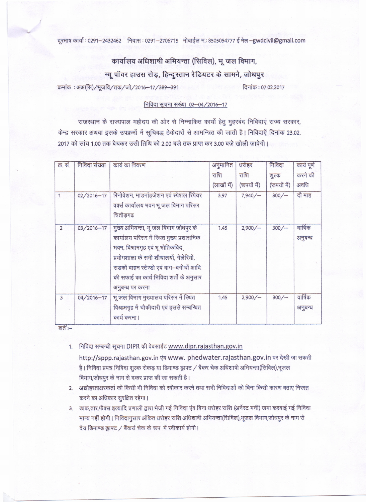दूरभाष कार्या : 0291-2432462 निवास : 0291-2706715 मोबाईल न.: 8505054777 ई मेल-gwdcivil@gmail.com

## कार्यालय अधिशाषी अभियन्ता (सिविल), भूजल विभाग,

न्यू पॉवर हाउस रोड़, हिन्दूस्तान रेडियटर के सामने, जोधपूर

.<br>क्रमांक : अअ(सि)/भूजवि/तक/जो/2016-17/389-391 दिनांक : 07.02.2017

## निविदा सूचना सख्या 02-04/2016-17

राजस्थान के राज्यपाल महोदय की ओर से निम्नाकित कार्यो हेतु मुहरबंद निविदाएं राज्य सरकार, केन्द्र सरकार अथवा इसके उपक्रमों में सूचिबद्ध ठेकेदारों से आमन्त्रित की जाती है। निविदाएें दिनांक 23.02. 2017 को सांय 1.00 तक बेचकर उसी तिथि को 2.00 बजे तक प्राप्त कर 3.00 बजे खोली जावेगी।

| क्र. सं.       | निविदा संख्या | कार्य का विवरण                             | अनुमानित    | धरोहर        | निविदा       | कार्य पूर्ण |
|----------------|---------------|--------------------------------------------|-------------|--------------|--------------|-------------|
|                |               |                                            | राशि        | राशि         | शुल्क        | करने की     |
|                |               |                                            | (लाखों में) | (रूपयों में) | (रूपयों में) | अवधि        |
| 1              | 02/2016-17    | रिनोवेशन, माडर्नाइजेशन एवं स्पेशल रिपेयर   | 3.97        | 7,940/       | 300/         | दौ माह      |
|                |               | वर्क्स कार्यालय भवन भू जल विभाग परिसर      |             |              |              |             |
|                |               | चितौडगढ                                    |             |              |              |             |
| $\overline{2}$ | 03/2016-17    | मुख्य अभियन्ता, भू जल विभाग जोधपुर के      | 1.45        | 2,900/       | 300/         | वार्षिक     |
|                |               | कार्यालय परिसर में स्थित मुख्य प्रशासनिक   |             |              |              | अनुबन्ध     |
|                |               | भवन, विश्रामगृह एवं भू भोतिकविद्           |             |              |              |             |
|                |               | प्रयोगशाला के सभी शौचालयों, गेलेरियों,     |             |              |              |             |
|                |               | सड़कों वाहन स्टेण्डो एवं बाग-बगीचों आदि    |             |              |              |             |
|                |               | की सफाई का कार्य निविदा शर्तो के अनुसार    |             |              |              |             |
|                |               | अनुबन्ध पर करना                            |             |              |              |             |
| $\overline{3}$ | 04/2016-17    | भू जल विभाग मुख्यालय परिसर में स्थित       | 1.45        | 2,900/       | 300/         | वार्षिक     |
|                |               | विश्रामगृह में चौकीदारी एवं इससे सम्बन्धित |             |              |              | अनुबन्ध     |
|                |               | कार्य करना ।                               |             |              |              |             |

शते $:=$ 

1. निविदा सम्बन्धी सूचना DIPR की वेबसाईट www.dipr.rajasthan.gov.in

http://sppp.rajasthan.gov.in एंव www. phedwater.rajasthan.gov.in पर देखी जा सकती है। निविदा प्रपत्र निविदा शुल्क रोकड़ या डिमाण्ड ड्राफ्ट / बैंकर चेक अधिशाषी अभियन्ता(सिविल),भूजल विभाग,जोधपुर के नाम से दकर प्राप्त की जा सकती है।

- 2. अद्योहस्ताक्षरकर्ता को किसी भी निविदा को स्वीकार करने तथा सभी निविदाओं को बिना किसी कारण बताए निरस्त करने का अधिकार सुरक्षित रहेगा।
- 3. डाक,तार,फैक्स इत्यादि प्रणाली द्वारा भेजी गई निविदा एंव बिना धरोहर राशि (अर्नेस्ट मनी) जमा करवाई गई निविदा मान्य नहीं होगी। निविदानुसार अंकित धरोहर राशि अधिशाषी अभियन्ता(सिविल),भूजल विभाग,जोधपुर के नाम से देय डिमाण्ड ड्राफ्ट / बैंकर्स चेक के रूप में स्वीकार्य होगी।